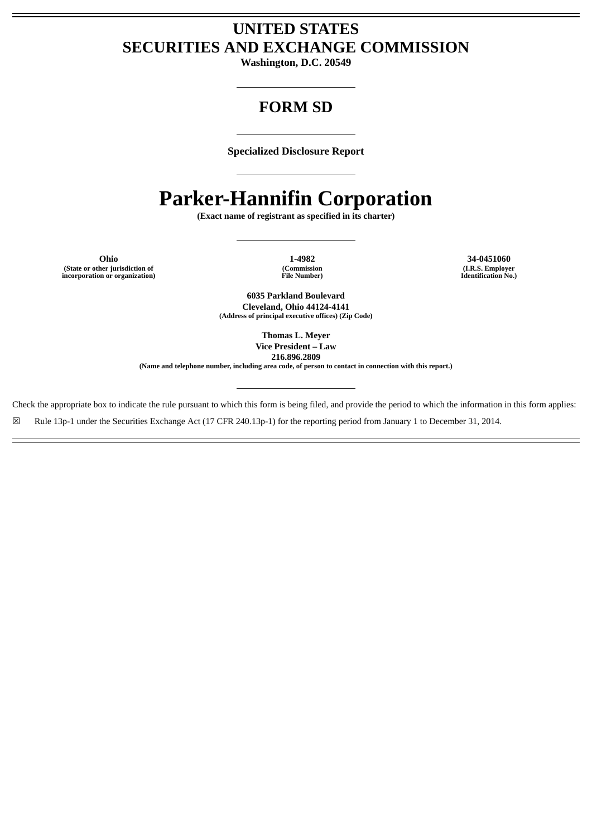# **UNITED STATES SECURITIES AND EXCHANGE COMMISSION**

**Washington, D.C. 20549**

# **FORM SD**

**Specialized Disclosure Report**

# **Parker-Hannifin Corporation**

**(Exact name of registrant as specified in its charter)**

**Ohio 1-4982 34-0451060 (State or other jurisdiction of incorporation or organization)**

**(Commission File Number)**

**(I.R.S. Employer Identification No.)**

**6035 Parkland Boulevard Cleveland, Ohio 44124-4141 (Address of principal executive offices) (Zip Code)**

> **Thomas L. Meyer Vice President – Law 216.896.2809**

**(Name and telephone number, including area code, of person to contact in connection with this report.)**

Check the appropriate box to indicate the rule pursuant to which this form is being filed, and provide the period to which the information in this form applies:

☒ Rule 13p-1 under the Securities Exchange Act (17 CFR 240.13p-1) for the reporting period from January 1 to December 31, 2014.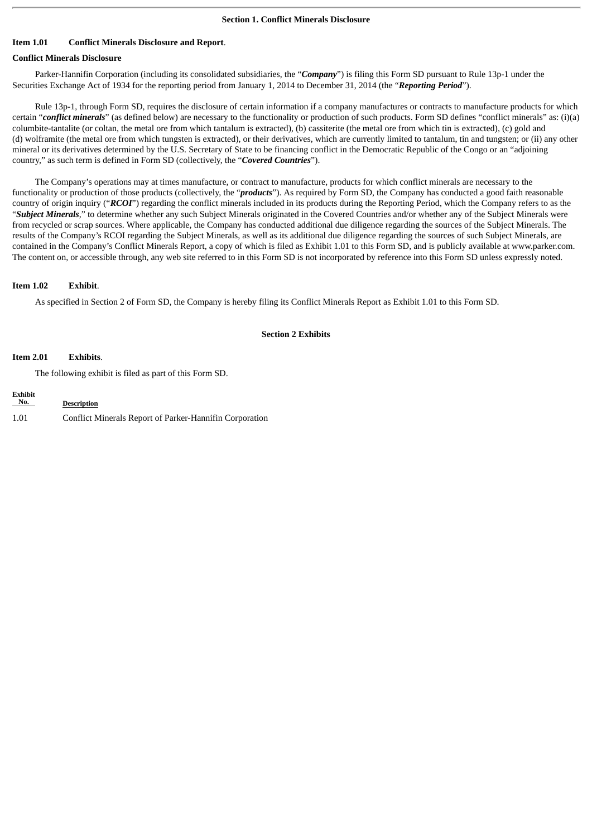## **Item 1.01 Conflict Minerals Disclosure and Report**.

# **Conflict Minerals Disclosure**

Parker-Hannifin Corporation (including its consolidated subsidiaries, the "*Company*") is filing this Form SD pursuant to Rule 13p-1 under the Securities Exchange Act of 1934 for the reporting period from January 1, 2014 to December 31, 2014 (the "*Reporting Period*").

Rule 13p-1, through Form SD, requires the disclosure of certain information if a company manufactures or contracts to manufacture products for which certain "*conflict minerals*" (as defined below) are necessary to the functionality or production of such products. Form SD defines "conflict minerals" as: (i)(a) columbite-tantalite (or coltan, the metal ore from which tantalum is extracted), (b) cassiterite (the metal ore from which tin is extracted), (c) gold and (d) wolframite (the metal ore from which tungsten is extracted), or their derivatives, which are currently limited to tantalum, tin and tungsten; or (ii) any other mineral or its derivatives determined by the U.S. Secretary of State to be financing conflict in the Democratic Republic of the Congo or an "adjoining country," as such term is defined in Form SD (collectively, the "*Covered Countries*").

The Company's operations may at times manufacture, or contract to manufacture, products for which conflict minerals are necessary to the functionality or production of those products (collectively, the "*products*"). As required by Form SD, the Company has conducted a good faith reasonable country of origin inquiry ("*RCOI*") regarding the conflict minerals included in its products during the Reporting Period, which the Company refers to as the "*Subject Minerals*," to determine whether any such Subject Minerals originated in the Covered Countries and/or whether any of the Subject Minerals were from recycled or scrap sources. Where applicable, the Company has conducted additional due diligence regarding the sources of the Subject Minerals. The results of the Company's RCOI regarding the Subject Minerals, as well as its additional due diligence regarding the sources of such Subject Minerals, are contained in the Company's Conflict Minerals Report, a copy of which is filed as Exhibit 1.01 to this Form SD, and is publicly available at www.parker.com. The content on, or accessible through, any web site referred to in this Form SD is not incorporated by reference into this Form SD unless expressly noted.

#### **Item 1.02 Exhibit**.

As specified in Section 2 of Form SD, the Company is hereby filing its Conflict Minerals Report as Exhibit 1.01 to this Form SD.

#### **Section 2 Exhibits**

#### **Item 2.01 Exhibits**.

The following exhibit is filed as part of this Form SD.

| <b>Exhibit</b><br>No. | <b>Description</b>                                      |
|-----------------------|---------------------------------------------------------|
| 1.01                  | Conflict Minerals Report of Parker-Hannifin Corporation |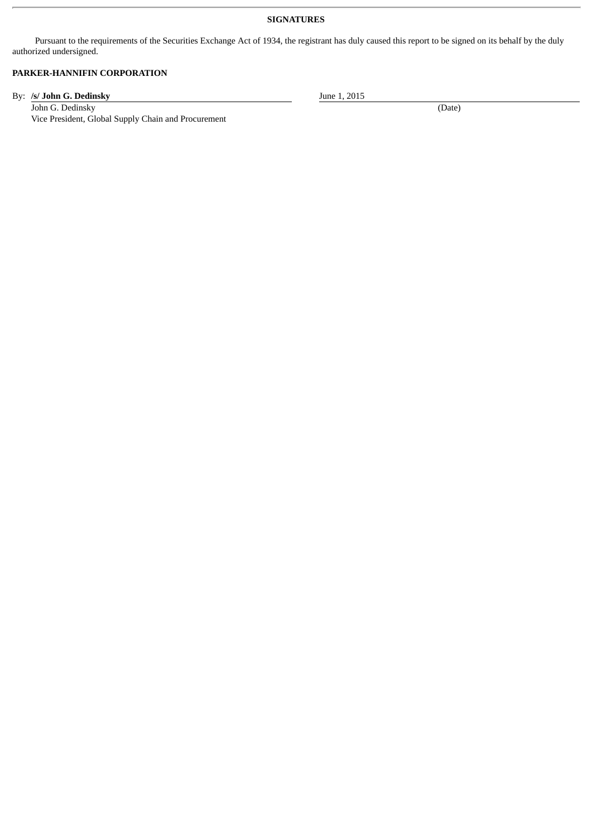## **SIGNATURES**

Pursuant to the requirements of the Securities Exchange Act of 1934, the registrant has duly caused this report to be signed on its behalf by the duly authorized undersigned.

# **PARKER-HANNIFIN CORPORATION**

By: **/s/ John G. Dedinsky** June 1, 2015

John G. Dedinsky (Date) (Date) Vice President, Global Supply Chain and Procurement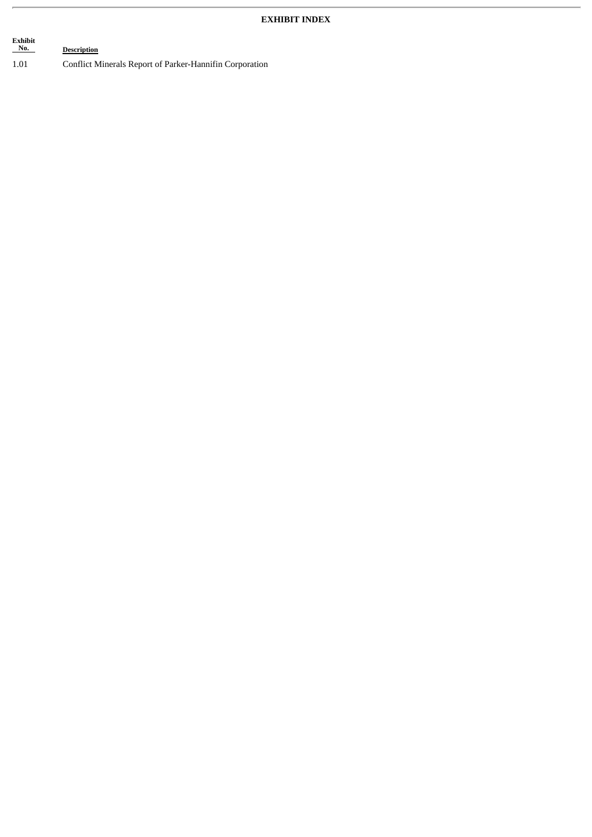# **Exhibit Description** 1.01 Conflict Minerals Report of Parker-Hannifin Corporation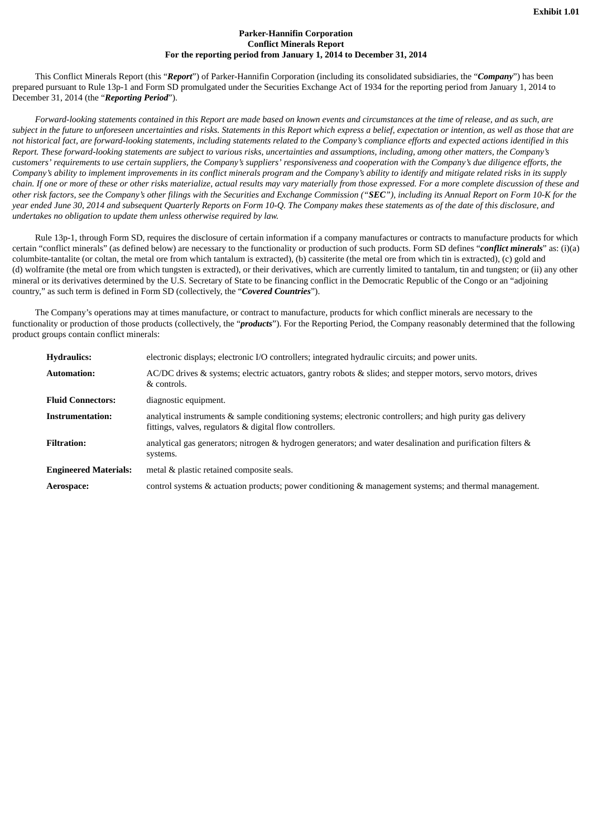#### **Parker-Hannifin Corporation Conflict Minerals Report For the reporting period from January 1, 2014 to December 31, 2014**

This Conflict Minerals Report (this "*Report*") of Parker-Hannifin Corporation (including its consolidated subsidiaries, the "*Company*") has been prepared pursuant to Rule 13p-1 and Form SD promulgated under the Securities Exchange Act of 1934 for the reporting period from January 1, 2014 to December 31, 2014 (the "*Reporting Period*").

Forward-looking statements contained in this Report are made based on known events and circumstances at the time of release, and as such, are subject in the future to unforeseen uncertainties and risks. Statements in this Report which express a belief, expectation or intention, as well as those that are not historical fact, are forward-looking statements, including statements related to the Company's compliance efforts and expected actions identified in this Report. These forward-looking statements are subject to various risks, uncertainties and assumptions, including, among other matters, the Company's customers' requirements to use certain suppliers, the Company's suppliers' responsiveness and cooperation with the Company's due diligence efforts, the Company's ability to implement improvements in its conflict minerals program and the Company's ability to identify and mitigate related risks in its supply chain. If one or more of these or other risks materialize, actual results may vary materially from those expressed. For a more complete discussion of these and other risk factors, see the Company's other filings with the Securities and Exchange Commission ("SEC"), including its Annual Report on Form 10-K for the year ended June 30, 2014 and subsequent Quarterly Reports on Form 10-Q. The Company makes these statements as of the date of this disclosure, and *undertakes no obligation to update them unless otherwise required by law.*

Rule 13p-1, through Form SD, requires the disclosure of certain information if a company manufactures or contracts to manufacture products for which certain "conflict minerals" (as defined below) are necessary to the functionality or production of such products. Form SD defines "*conflict minerals*" as: (i)(a) columbite-tantalite (or coltan, the metal ore from which tantalum is extracted), (b) cassiterite (the metal ore from which tin is extracted), (c) gold and (d) wolframite (the metal ore from which tungsten is extracted), or their derivatives, which are currently limited to tantalum, tin and tungsten; or (ii) any other mineral or its derivatives determined by the U.S. Secretary of State to be financing conflict in the Democratic Republic of the Congo or an "adjoining country," as such term is defined in Form SD (collectively, the "*Covered Countries*").

The Company's operations may at times manufacture, or contract to manufacture, products for which conflict minerals are necessary to the functionality or production of those products (collectively, the "*products*"). For the Reporting Period, the Company reasonably determined that the following product groups contain conflict minerals:

| <b>Hydraulics:</b>           | electronic displays; electronic I/O controllers; integrated hydraulic circuits; and power units.                                                                       |
|------------------------------|------------------------------------------------------------------------------------------------------------------------------------------------------------------------|
| <b>Automation:</b>           | AC/DC drives & systems; electric actuators, gantry robots & slides; and stepper motors, servo motors, drives<br>& controls.                                            |
| <b>Fluid Connectors:</b>     | diagnostic equipment.                                                                                                                                                  |
| Instrumentation:             | analytical instruments & sample conditioning systems; electronic controllers; and high purity gas delivery<br>fittings, valves, regulators & digital flow controllers. |
| <b>Filtration:</b>           | analytical gas generators; nitrogen & hydrogen generators; and water desalination and purification filters &<br>systems.                                               |
| <b>Engineered Materials:</b> | metal & plastic retained composite seals.                                                                                                                              |
| Aerospace:                   | control systems & actuation products; power conditioning & management systems; and thermal management.                                                                 |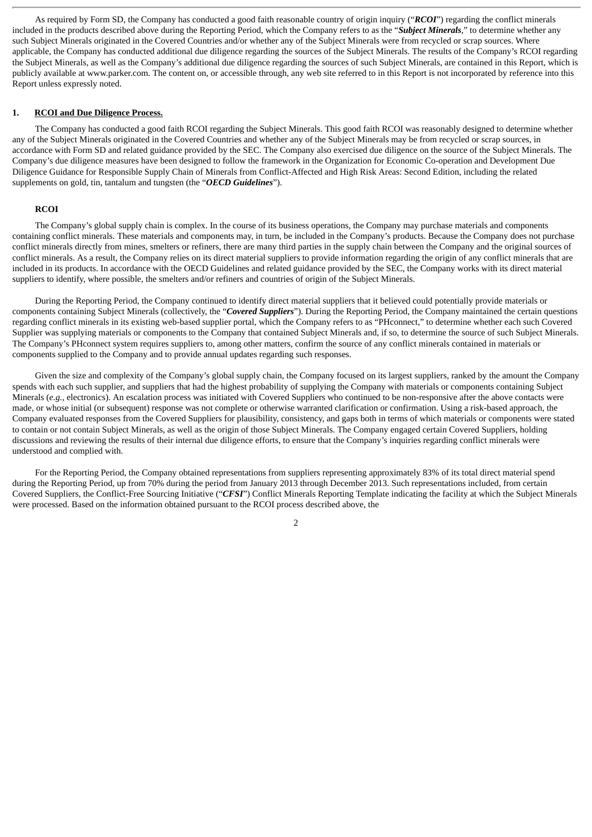As required by Form SD, the Company has conducted a good faith reasonable country of origin inquiry ("*RCOI*") regarding the conflict minerals included in the products described above during the Reporting Period, which the Company refers to as the "*Subject Minerals*," to determine whether any such Subject Minerals originated in the Covered Countries and/or whether any of the Subject Minerals were from recycled or scrap sources. Where applicable, the Company has conducted additional due diligence regarding the sources of the Subject Minerals. The results of the Company's RCOI regarding the Subject Minerals, as well as the Company's additional due diligence regarding the sources of such Subject Minerals, are contained in this Report, which is publicly available at www.parker.com. The content on, or accessible through, any web site referred to in this Report is not incorporated by reference into this Report unless expressly noted.

#### **1. RCOI and Due Diligence Process.**

The Company has conducted a good faith RCOI regarding the Subject Minerals. This good faith RCOI was reasonably designed to determine whether any of the Subject Minerals originated in the Covered Countries and whether any of the Subject Minerals may be from recycled or scrap sources, in accordance with Form SD and related guidance provided by the SEC. The Company also exercised due diligence on the source of the Subject Minerals. The Company's due diligence measures have been designed to follow the framework in the Organization for Economic Co-operation and Development Due Diligence Guidance for Responsible Supply Chain of Minerals from Conflict-Affected and High Risk Areas: Second Edition, including the related supplements on gold, tin, tantalum and tungsten (the "*OECD Guidelines*").

#### **RCOI**

The Company's global supply chain is complex. In the course of its business operations, the Company may purchase materials and components containing conflict minerals. These materials and components may, in turn, be included in the Company's products. Because the Company does not purchase conflict minerals directly from mines, smelters or refiners, there are many third parties in the supply chain between the Company and the original sources of conflict minerals. As a result, the Company relies on its direct material suppliers to provide information regarding the origin of any conflict minerals that are included in its products. In accordance with the OECD Guidelines and related guidance provided by the SEC, the Company works with its direct material suppliers to identify, where possible, the smelters and/or refiners and countries of origin of the Subject Minerals.

During the Reporting Period, the Company continued to identify direct material suppliers that it believed could potentially provide materials or components containing Subject Minerals (collectively, the "*Covered Suppliers*"). During the Reporting Period, the Company maintained the certain questions regarding conflict minerals in its existing web-based supplier portal, which the Company refers to as "PHconnect," to determine whether each such Covered Supplier was supplying materials or components to the Company that contained Subject Minerals and, if so, to determine the source of such Subject Minerals. The Company's PHconnect system requires suppliers to, among other matters, confirm the source of any conflict minerals contained in materials or components supplied to the Company and to provide annual updates regarding such responses.

Given the size and complexity of the Company's global supply chain, the Company focused on its largest suppliers, ranked by the amount the Company spends with each such supplier, and suppliers that had the highest probability of supplying the Company with materials or components containing Subject Minerals (e.g., electronics). An escalation process was initiated with Covered Suppliers who continued to be non-responsive after the above contacts were made, or whose initial (or subsequent) response was not complete or otherwise warranted clarification or confirmation. Using a risk-based approach, the Company evaluated responses from the Covered Suppliers for plausibility, consistency, and gaps both in terms of which materials or components were stated to contain or not contain Subject Minerals, as well as the origin of those Subject Minerals. The Company engaged certain Covered Suppliers, holding discussions and reviewing the results of their internal due diligence efforts, to ensure that the Company's inquiries regarding conflict minerals were understood and complied with.

For the Reporting Period, the Company obtained representations from suppliers representing approximately 83% of its total direct material spend during the Reporting Period, up from 70% during the period from January 2013 through December 2013. Such representations included, from certain Covered Suppliers, the Conflict-Free Sourcing Initiative ("*CFSI*") Conflict Minerals Reporting Template indicating the facility at which the Subject Minerals were processed. Based on the information obtained pursuant to the RCOI process described above, the

2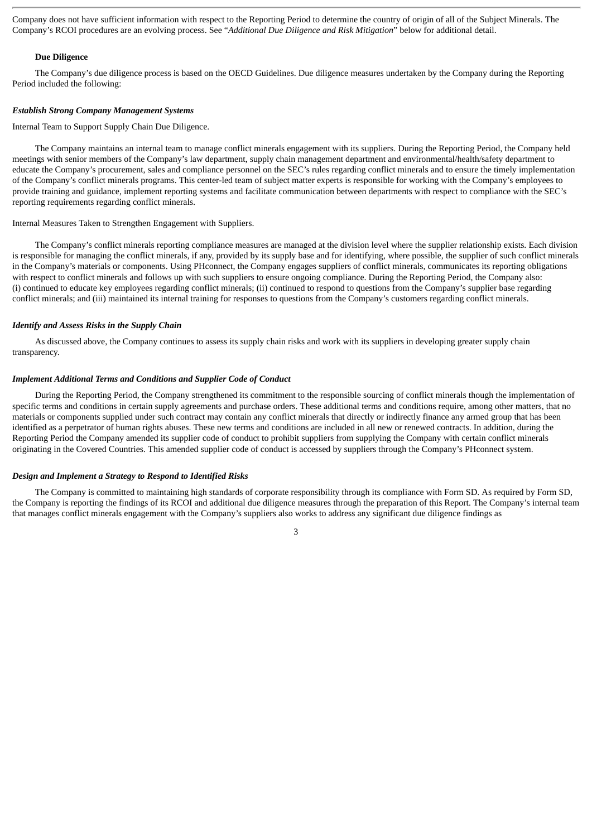Company does not have sufficient information with respect to the Reporting Period to determine the country of origin of all of the Subject Minerals. The Company's RCOI procedures are an evolving process. See "*Additional Due Diligence and Risk Mitigation*" below for additional detail.

#### **Due Diligence**

The Company's due diligence process is based on the OECD Guidelines. Due diligence measures undertaken by the Company during the Reporting Period included the following:

#### *Establish Strong Company Management Systems*

Internal Team to Support Supply Chain Due Diligence.

The Company maintains an internal team to manage conflict minerals engagement with its suppliers. During the Reporting Period, the Company held meetings with senior members of the Company's law department, supply chain management department and environmental/health/safety department to educate the Company's procurement, sales and compliance personnel on the SEC's rules regarding conflict minerals and to ensure the timely implementation of the Company's conflict minerals programs. This center-led team of subject matter experts is responsible for working with the Company's employees to provide training and guidance, implement reporting systems and facilitate communication between departments with respect to compliance with the SEC's reporting requirements regarding conflict minerals.

#### Internal Measures Taken to Strengthen Engagement with Suppliers.

The Company's conflict minerals reporting compliance measures are managed at the division level where the supplier relationship exists. Each division is responsible for managing the conflict minerals, if any, provided by its supply base and for identifying, where possible, the supplier of such conflict minerals in the Company's materials or components. Using PHconnect, the Company engages suppliers of conflict minerals, communicates its reporting obligations with respect to conflict minerals and follows up with such suppliers to ensure ongoing compliance. During the Reporting Period, the Company also: (i) continued to educate key employees regarding conflict minerals; (ii) continued to respond to questions from the Company's supplier base regarding conflict minerals; and (iii) maintained its internal training for responses to questions from the Company's customers regarding conflict minerals.

#### *Identify and Assess Risks in the Supply Chain*

As discussed above, the Company continues to assess its supply chain risks and work with its suppliers in developing greater supply chain transparency.

#### *Implement Additional Terms and Conditions and Supplier Code of Conduct*

During the Reporting Period, the Company strengthened its commitment to the responsible sourcing of conflict minerals though the implementation of specific terms and conditions in certain supply agreements and purchase orders. These additional terms and conditions require, among other matters, that no materials or components supplied under such contract may contain any conflict minerals that directly or indirectly finance any armed group that has been identified as a perpetrator of human rights abuses. These new terms and conditions are included in all new or renewed contracts. In addition, during the Reporting Period the Company amended its supplier code of conduct to prohibit suppliers from supplying the Company with certain conflict minerals originating in the Covered Countries. This amended supplier code of conduct is accessed by suppliers through the Company's PHconnect system.

#### *Design and Implement a Strategy to Respond to Identified Risks*

The Company is committed to maintaining high standards of corporate responsibility through its compliance with Form SD. As required by Form SD, the Company is reporting the findings of its RCOI and additional due diligence measures through the preparation of this Report. The Company's internal team that manages conflict minerals engagement with the Company's suppliers also works to address any significant due diligence findings as

3